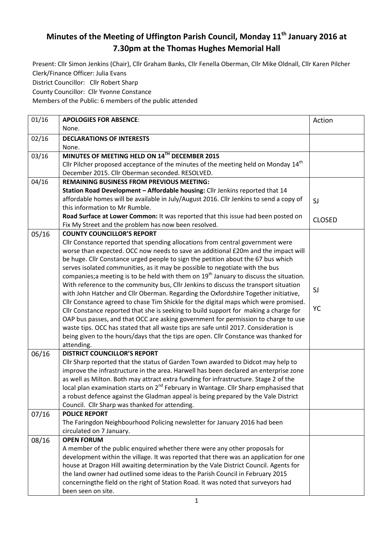## **Minutes of the Meeting of Uffington Parish Council, Monday 11th January 2016 at 7.30pm at the Thomas Hughes Memorial Hall**

Present: Cllr Simon Jenkins (Chair), Cllr Graham Banks, Cllr Fenella Oberman, Cllr Mike Oldnall, Cllr Karen Pilcher Clerk/Finance Officer: Julia Evans

District Councillor: Cllr Robert Sharp

County Councillor: Cllr Yvonne Constance

Members of the Public: 6 members of the public attended

| 01/16 | <b>APOLOGIES FOR ABSENCE:</b>                                                                    | Action        |
|-------|--------------------------------------------------------------------------------------------------|---------------|
|       | None.                                                                                            |               |
| 02/16 | <b>DECLARATIONS OF INTERESTS</b>                                                                 |               |
|       | None.                                                                                            |               |
| 03/16 | MINUTES OF MEETING HELD ON 14TH DECEMBER 2015                                                    |               |
|       | Cllr Pilcher proposed acceptance of the minutes of the meeting held on Monday 14 <sup>th</sup>   |               |
|       | December 2015. Cllr Oberman seconded. RESOLVED.                                                  |               |
| 04/16 | <b>REMAINING BUSINESS FROM PREVIOUS MEETING:</b>                                                 |               |
|       | Station Road Development - Affordable housing: Cllr Jenkins reported that 14                     |               |
|       | affordable homes will be available in July/August 2016. Cllr Jenkins to send a copy of           | SJ            |
|       | this information to Mr Rumble.                                                                   |               |
|       | Road Surface at Lower Common: It was reported that this issue had been posted on                 | <b>CLOSED</b> |
|       | Fix My Street and the problem has now been resolved.                                             |               |
| 05/16 | <b>COUNTY COUNCILLOR'S REPORT</b>                                                                |               |
|       | Cllr Constance reported that spending allocations from central government were                   |               |
|       | worse than expected. OCC now needs to save an additional £20m and the impact will                |               |
|       | be huge. Cllr Constance urged people to sign the petition about the 67 bus which                 |               |
|       | serves isolated communities, as it may be possible to negotiate with the bus                     |               |
|       | companies; a meeting is to be held with them on $19th$ January to discuss the situation.         |               |
|       | With reference to the community bus, Cllr Jenkins to discuss the transport situation             |               |
|       | with John Hatcher and Cllr Oberman. Regarding the Oxfordshire Together initiative,               | SJ            |
|       | Cllr Constance agreed to chase Tim Shickle for the digital maps which were promised.             |               |
|       | Cllr Constance reported that she is seeking to build support for making a charge for             | YC            |
|       | OAP bus passes, and that OCC are asking government for permission to charge to use               |               |
|       | waste tips. OCC has stated that all waste tips are safe until 2017. Consideration is             |               |
|       | being given to the hours/days that the tips are open. Cllr Constance was thanked for             |               |
|       | attending.                                                                                       |               |
| 06/16 | <b>DISTRICT COUNCILLOR'S REPORT</b>                                                              |               |
|       | Cllr Sharp reported that the status of Garden Town awarded to Didcot may help to                 |               |
|       | improve the infrastructure in the area. Harwell has been declared an enterprise zone             |               |
|       | as well as Milton. Both may attract extra funding for infrastructure. Stage 2 of the             |               |
|       | local plan examination starts on 2 <sup>nd</sup> February in Wantage. Cllr Sharp emphasised that |               |
|       | a robust defence against the Gladman appeal is being prepared by the Vale District               |               |
|       | Council. Cllr Sharp was thanked for attending.                                                   |               |
| 07/16 | <b>POLICE REPORT</b>                                                                             |               |
|       | The Faringdon Neighbourhood Policing newsletter for January 2016 had been                        |               |
|       | circulated on 7 January.                                                                         |               |
| 08/16 | <b>OPEN FORUM</b>                                                                                |               |
|       | A member of the public enquired whether there were any other proposals for                       |               |
|       | development within the village. It was reported that there was an application for one            |               |
|       | house at Dragon Hill awaiting determination by the Vale District Council. Agents for             |               |
|       | the land owner had outlined some ideas to the Parish Council in February 2015                    |               |
|       | concerningthe field on the right of Station Road. It was noted that surveyors had                |               |
|       | been seen on site.                                                                               |               |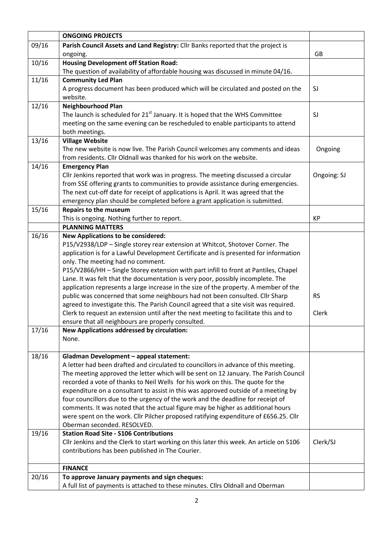|       | <b>ONGOING PROJECTS</b>                                                                  |             |
|-------|------------------------------------------------------------------------------------------|-------------|
| 09/16 | Parish Council Assets and Land Registry: Cllr Banks reported that the project is         |             |
|       | ongoing.                                                                                 | GB          |
| 10/16 | <b>Housing Development off Station Road:</b>                                             |             |
|       | The question of availability of affordable housing was discussed in minute 04/16.        |             |
| 11/16 | <b>Community Led Plan</b>                                                                |             |
|       | A progress document has been produced which will be circulated and posted on the         | SJ          |
|       | website.                                                                                 |             |
| 12/16 | <b>Neighbourhood Plan</b>                                                                |             |
|       | The launch is scheduled for 21 <sup>st</sup> January. It is hoped that the WHS Committee | SJ          |
|       | meeting on the same evening can be rescheduled to enable participants to attend          |             |
|       | both meetings.                                                                           |             |
| 13/16 | <b>Village Website</b>                                                                   |             |
|       | The new website is now live. The Parish Council welcomes any comments and ideas          | Ongoing     |
|       | from residents. Cllr Oldnall was thanked for his work on the website.                    |             |
| 14/16 | <b>Emergency Plan</b>                                                                    |             |
|       | Cllr Jenkins reported that work was in progress. The meeting discussed a circular        | Ongoing: SJ |
|       | from SSE offering grants to communities to provide assistance during emergencies.        |             |
|       | The next cut-off date for receipt of applications is April. It was agreed that the       |             |
|       | emergency plan should be completed before a grant application is submitted.              |             |
| 15/16 | <b>Repairs to the museum</b>                                                             |             |
|       | This is ongoing. Nothing further to report.                                              | KP          |
|       | <b>PLANNING MATTERS</b>                                                                  |             |
| 16/16 | <b>New Applications to be considered:</b>                                                |             |
|       | P15/V2938/LDP - Single storey rear extension at Whitcot, Shotover Corner. The            |             |
|       | application is for a Lawful Development Certificate and is presented for information     |             |
|       | only. The meeting had no comment.                                                        |             |
|       | P15/V2866/HH - Single Storey extension with part infill to front at Pantiles, Chapel     |             |
|       | Lane. It was felt that the documentation is very poor, possibly incomplete. The          |             |
|       | application represents a large increase in the size of the property. A member of the     |             |
|       | public was concerned that some neighbours had not been consulted. Cllr Sharp             | <b>RS</b>   |
|       | agreed to investigate this. The Parish Council agreed that a site visit was required.    |             |
|       | Clerk to request an extension until after the next meeting to facilitate this and to     | Clerk       |
|       | ensure that all neighbours are properly consulted.                                       |             |
| 17/16 | New Applications addressed by circulation:                                               |             |
|       | None.                                                                                    |             |
| 18/16 | Gladman Development - appeal statement:                                                  |             |
|       | A letter had been drafted and circulated to councillors in advance of this meeting.      |             |
|       | The meeting approved the letter which will be sent on 12 January. The Parish Council     |             |
|       | recorded a vote of thanks to Neil Wells for his work on this. The quote for the          |             |
|       | expenditure on a consultant to assist in this was approved outside of a meeting by       |             |
|       | four councillors due to the urgency of the work and the deadline for receipt of          |             |
|       | comments. It was noted that the actual figure may be higher as additional hours          |             |
|       | were spent on the work. Cllr Pilcher proposed ratifying expenditure of £656.25. Cllr     |             |
|       | Oberman seconded. RESOLVED.                                                              |             |
| 19/16 | <b>Station Road Site - S106 Contributions</b>                                            |             |
|       | Cllr Jenkins and the Clerk to start working on this later this week. An article on S106  | Clerk/SJ    |
|       | contributions has been published in The Courier.                                         |             |
|       |                                                                                          |             |
|       | <b>FINANCE</b>                                                                           |             |
| 20/16 | To approve January payments and sign cheques:                                            |             |
|       | A full list of payments is attached to these minutes. Cllrs Oldnall and Oberman          |             |